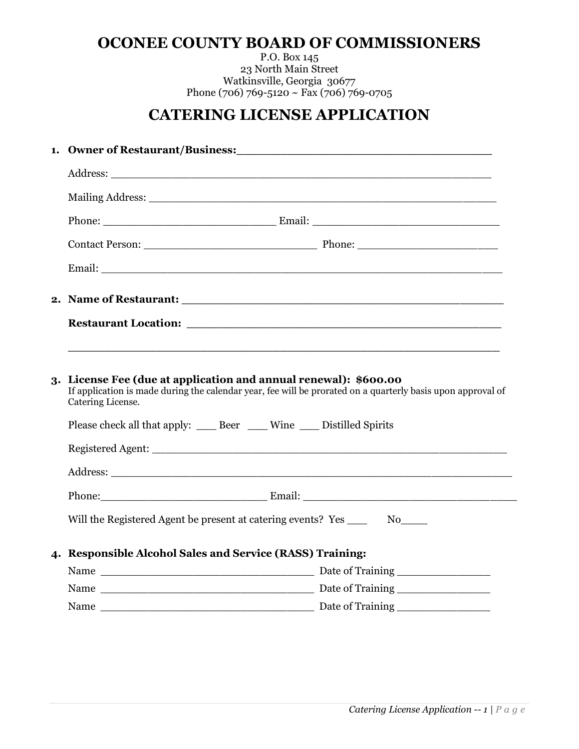## **OCONEE COUNTY BOARD OF COMMISSIONERS**

P.O. Box 145 23 North Main Street Watkinsville, Georgia 30677 Phone (706) 769-5120 ~ Fax (706) 769-0705

# **CATERING LICENSE APPLICATION**

| 1. Owner of Restaurant/Business: The Contract of Restaurant of Restaurant of Restaurant of Restaurant of Restaurant of Restaurant of Restaurant of Restaurant of Restaurant of Restaurant of Restaurant of Restaurant of Resta |                                                                                                                                                                                                                                |  |
|--------------------------------------------------------------------------------------------------------------------------------------------------------------------------------------------------------------------------------|--------------------------------------------------------------------------------------------------------------------------------------------------------------------------------------------------------------------------------|--|
|                                                                                                                                                                                                                                |                                                                                                                                                                                                                                |  |
|                                                                                                                                                                                                                                | Mailing Address: National Address: National Address of the Contract of the Contract of the Contract of the Contract of the Contract of the Contract of the Contract of the Contract of the Contract of the Contract of the Con |  |
|                                                                                                                                                                                                                                |                                                                                                                                                                                                                                |  |
|                                                                                                                                                                                                                                |                                                                                                                                                                                                                                |  |
|                                                                                                                                                                                                                                |                                                                                                                                                                                                                                |  |
|                                                                                                                                                                                                                                |                                                                                                                                                                                                                                |  |
|                                                                                                                                                                                                                                |                                                                                                                                                                                                                                |  |
|                                                                                                                                                                                                                                |                                                                                                                                                                                                                                |  |
| 3. License Fee (due at application and annual renewal): \$600.00<br>If application is made during the calendar year, fee will be prorated on a quarterly basis upon approval of<br>Catering License.                           |                                                                                                                                                                                                                                |  |
| Please check all that apply: _____ Beer _____ Wine _____ Distilled Spirits                                                                                                                                                     |                                                                                                                                                                                                                                |  |
|                                                                                                                                                                                                                                |                                                                                                                                                                                                                                |  |
|                                                                                                                                                                                                                                |                                                                                                                                                                                                                                |  |
|                                                                                                                                                                                                                                |                                                                                                                                                                                                                                |  |
| Will the Registered Agent be present at catering events? Yes _______ No_____                                                                                                                                                   |                                                                                                                                                                                                                                |  |
| 4. Responsible Alcohol Sales and Service (RASS) Training:                                                                                                                                                                      |                                                                                                                                                                                                                                |  |
|                                                                                                                                                                                                                                |                                                                                                                                                                                                                                |  |
|                                                                                                                                                                                                                                |                                                                                                                                                                                                                                |  |
|                                                                                                                                                                                                                                |                                                                                                                                                                                                                                |  |
|                                                                                                                                                                                                                                |                                                                                                                                                                                                                                |  |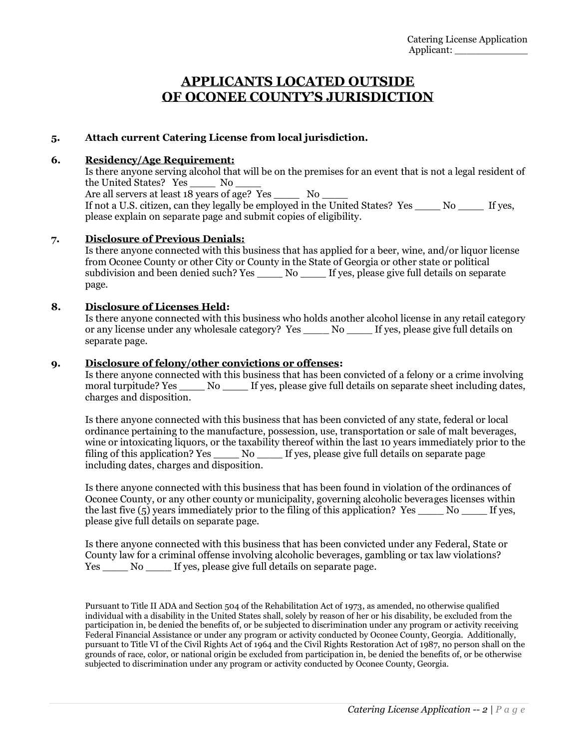### **APPLICANTS LOCATED OUTSIDE OF OCONEE COUNTY'S JURISDICTION**

### **5. Attach current Catering License from local jurisdiction.**

#### **6. Residency/Age Requirement:**

Is there anyone serving alcohol that will be on the premises for an event that is not a legal resident of the United States? Yes \_\_\_\_ No \_\_\_\_ Are all servers at least  $18$  years of age? Yes  $\qquad$  No  $\qquad$ If not a U.S. citizen, can they legally be employed in the United States? Yes  $\overline{N}$  No If yes, please explain on separate page and submit copies of eligibility.

#### **7. Disclosure of Previous Denials:**

Is there anyone connected with this business that has applied for a beer, wine, and/or liquor license from Oconee County or other City or County in the State of Georgia or other state or political subdivision and been denied such? Yes \_\_\_\_ No \_\_\_\_ If yes, please give full details on separate page.

#### **8. Disclosure of Licenses Held:**

Is there anyone connected with this business who holds another alcohol license in any retail category or any license under any wholesale category? Yes No If yes, please give full details on separate page.

#### **9. Disclosure of felony/other convictions or offenses:**

Is there anyone connected with this business that has been convicted of a felony or a crime involving moral turpitude? Yes  $\overline{N}$  No  $\overline{N}$  if yes, please give full details on separate sheet including dates, charges and disposition.

Is there anyone connected with this business that has been convicted of any state, federal or local ordinance pertaining to the manufacture, possession, use, transportation or sale of malt beverages, wine or intoxicating liquors, or the taxability thereof within the last 10 years immediately prior to the filing of this application? Yes \_\_\_\_\_ No \_\_\_\_ If yes, please give full details on separate page including dates, charges and disposition.

Is there anyone connected with this business that has been found in violation of the ordinances of Oconee County, or any other county or municipality, governing alcoholic beverages licenses within the last five  $(5)$  years immediately prior to the filing of this application? Yes  $\sim$  No  $\sim$  If yes, please give full details on separate page.

Is there anyone connected with this business that has been convicted under any Federal, State or County law for a criminal offense involving alcoholic beverages, gambling or tax law violations? Yes \_\_\_\_ No \_\_\_\_ If yes, please give full details on separate page.

Pursuant to Title II ADA and Section 504 of the Rehabilitation Act of 1973, as amended, no otherwise qualified individual with a disability in the United States shall, solely by reason of her or his disability, be excluded from the participation in, be denied the benefits of, or be subjected to discrimination under any program or activity receiving Federal Financial Assistance or under any program or activity conducted by Oconee County, Georgia. Additionally, pursuant to Title VI of the Civil Rights Act of 1964 and the Civil Rights Restoration Act of 1987, no person shall on the grounds of race, color, or national origin be excluded from participation in, be denied the benefits of, or be otherwise subjected to discrimination under any program or activity conducted by Oconee County, Georgia.